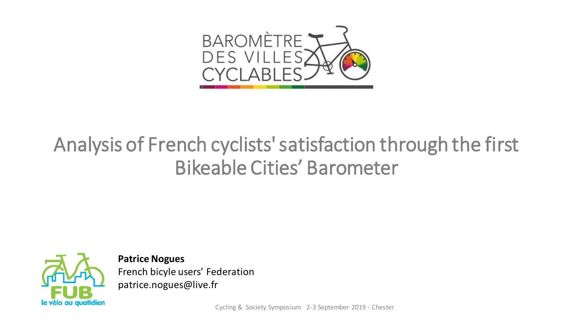

## Analysis of French cyclists' satisfaction through the first Bikeable Cities' Barometer



**Patrice Nogues** French bicyle users' Federation patrice.nogues@live.fr

Cycling & Society Symposium 2-3 September 2019 - Chester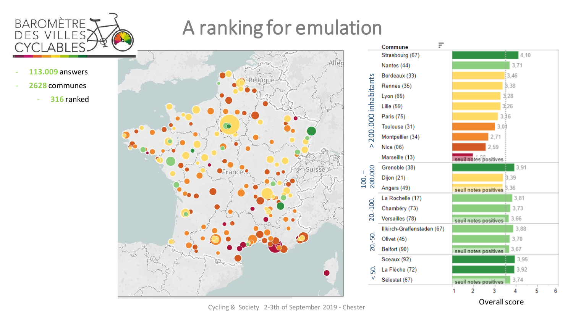

# A ranking for emulation

- **113.009** answers
- **2628** communes
	- **316** ranked





Cycling & Society 2 -3th of September 2019 - Chester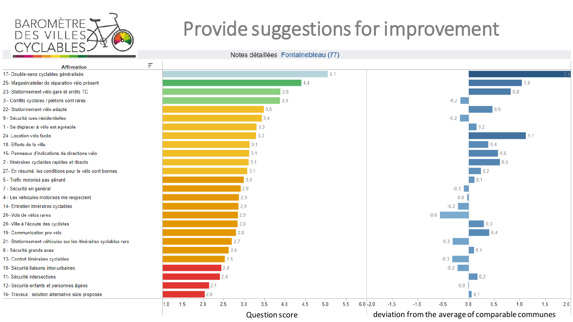

# Provide suggestions for improvement

Notes détaillées Fontainebleau (77)

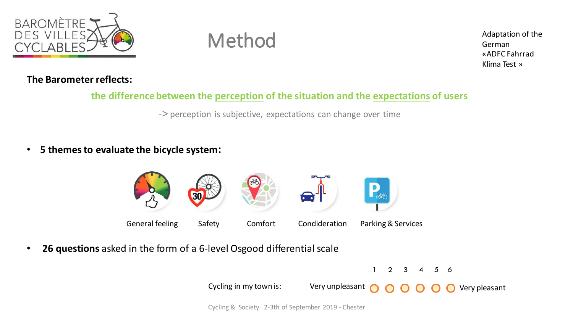

## Method

Adaptation of the German «ADFC Fahrrad Klima Test »

### **The Barometer reflects:**

### **the difference between the perception of the situation and the expectations of users**

-> perception is subjective, expectations can change over time

• **5 themesto evaluate the bicycle system:**



• **26 questions** asked in the form of a 6-level Osgood differential scale



Cycling & Society 2-3th of September 2019 - Chester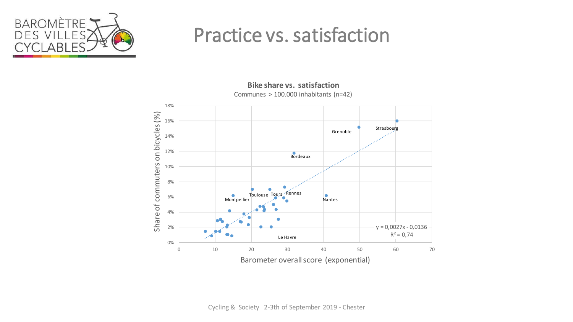

## Practice vs. satisfaction



**Bike share vs. satisfaction** Communes > 100.000 inhabitants (n=42)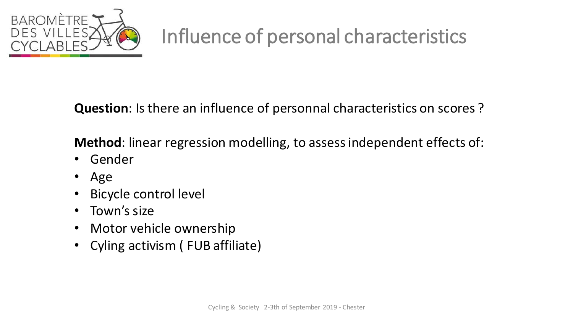

# Influence of personal characteristics

**Question**: Is there an influence of personnal characteristics on scores ?

**Method**: linear regression modelling, to assess independent effects of:

- Gender
- Age
- Bicycle control level
- Town's size
- Motor vehicle ownership
- Cyling activism ( FUB affiliate)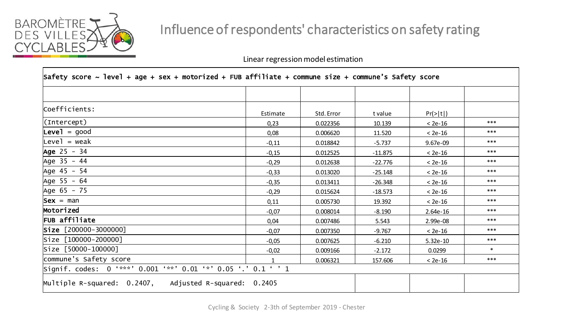

### Influence of respondents' characteristics on safety rating

Linear regression model estimation

| Safety score ~ level + age + sex + motorized + FUB affiliate + commune size + commune's Safety score |          |            |           |            |        |  |
|------------------------------------------------------------------------------------------------------|----------|------------|-----------|------------|--------|--|
|                                                                                                      |          |            |           |            |        |  |
| Coefficients:                                                                                        | Estimate | Std. Error | t value   | Pr(> t )   |        |  |
| (Intercept)                                                                                          | 0,23     | 0.022356   | 10.139    | $< 2e-16$  | ***    |  |
| $Level = good$                                                                                       | 0,08     | 0.006620   | 11.520    | $< 2e-16$  | ***    |  |
| $Level = weak$                                                                                       | $-0,11$  | 0.018842   | $-5.737$  | 9.67e-09   | ***    |  |
| Age 25 - 34                                                                                          | $-0,15$  | 0.012525   | $-11.875$ | $< 2e-16$  | ***    |  |
| Age 35 - 44                                                                                          | $-0,29$  | 0.012638   | $-22.776$ | $< 2e-16$  | ***    |  |
| Age 45 - 54                                                                                          | $-0,33$  | 0.013020   | $-25.148$ | $< 2e-16$  | ***    |  |
| Age 55 - 64                                                                                          | $-0,35$  | 0.013411   | $-26.348$ | $< 2e-16$  | ***    |  |
| Age 65 - 75                                                                                          | $-0,29$  | 0.015624   | $-18.573$ | $< 2e-16$  | ***    |  |
| $Sex = man$                                                                                          | 0,11     | 0.005730   | 19.392    | $< 2e-16$  | ***    |  |
| Motorized                                                                                            | $-0,07$  | 0.008014   | $-8.190$  | $2.64e-16$ | ***    |  |
| FUB affiliate                                                                                        | 0,04     | 0.007486   | 5.543     | 2.99e-08   | ***    |  |
| $\textsf{Size} \, [200000 - 3000000]$                                                                | $-0,07$  | 0.007350   | $-9.767$  | $< 2e-16$  | ***    |  |
| Size [100000-200000]                                                                                 | $-0,05$  | 0.007625   | $-6.210$  | $5.32e-10$ | ***    |  |
| Size [50000-100000]                                                                                  | $-0,02$  | 0.009166   | $-2.172$  | 0.0299     | $\ast$ |  |
| commune's Safety score                                                                               |          | 0.006321   | 157.606   | $< 2e-16$  | ***    |  |
| Signif. codes: 0 '***' 0.001 '**' 0.01 '*' 0.05 '.' 0.1 ' ' 1                                        |          |            |           |            |        |  |
| Multiple R-squared: 0.2407, Adjusted R-squared: 0.2405                                               |          |            |           |            |        |  |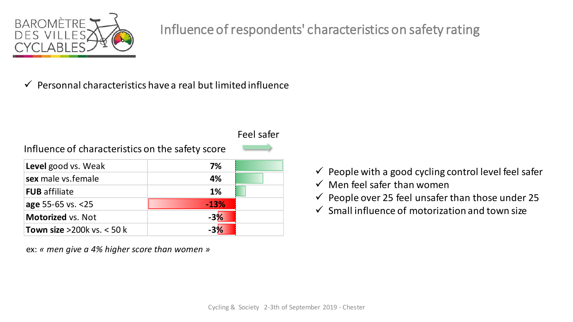

### Influence of respondents' characteristics on safety rating

 $\checkmark$  Personnal characteristics have a real but limited influence

### Influence of characteristics on the safety score

| Level good vs. Weak           | 7%     |
|-------------------------------|--------|
| sex male vs.female            | 4%     |
| <b>FUB</b> affiliate          | 1%     |
| age $55-65$ vs. $<25$         | $-13%$ |
| <b>Motorized vs. Not</b>      | $-3%$  |
| Town size $>200k$ vs. $< 50k$ |        |

ex: *« men give a 4% higher score than women »*

- $\checkmark$  People with a good cycling control level feel safer
- $\checkmark$  Men feel safer than women
- $\checkmark$  People over 25 feel unsafer than those under 25
- $\checkmark$  Small influence of motorization and town size

Feel safer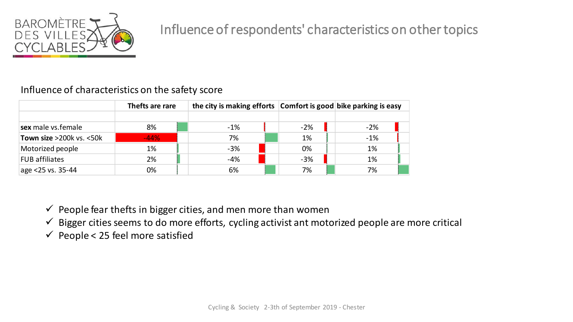

### Influence of characteristics on the safety score

|                          | Thefts are rare | the city is making efforts Comfort is good bike parking is easy |       |       |  |
|--------------------------|-----------------|-----------------------------------------------------------------|-------|-------|--|
|                          |                 |                                                                 |       |       |  |
| sex male vs.female       | 8%              | $-1%$                                                           | $-2%$ | $-2%$ |  |
| Town size >200k vs. <50k | $-44%$          | 7%                                                              | 1%    | $-1%$ |  |
| Motorized people         | 1%              | $-3%$                                                           | 0%    | 1%    |  |
| <b>FUB affiliates</b>    | 2%              | $-4%$                                                           | $-3%$ | 1%    |  |
| age $<$ 25 vs. 35-44     | 0%              | 6%                                                              | 7%    | 7%    |  |

 $\checkmark$  People fear thefts in bigger cities, and men more than women

 $\checkmark$  Bigger cities seems to do more efforts, cycling activist ant motorized people are more critical

 $\checkmark$  People < 25 feel more satisfied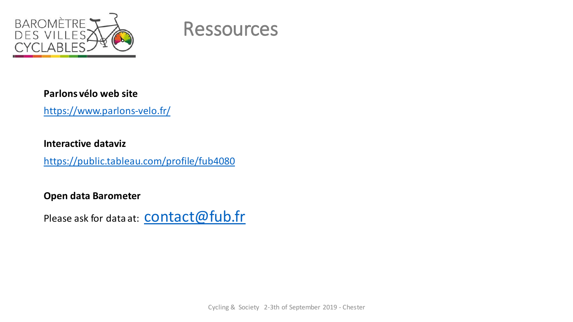



#### **Parlons vélo web site**

<https://www.parlons-velo.fr/>

#### **Interactive dataviz**

<https://public.tableau.com/profile/fub4080>

**Open data Barometer**

Please ask for data at: **CONTACT@fub.fr**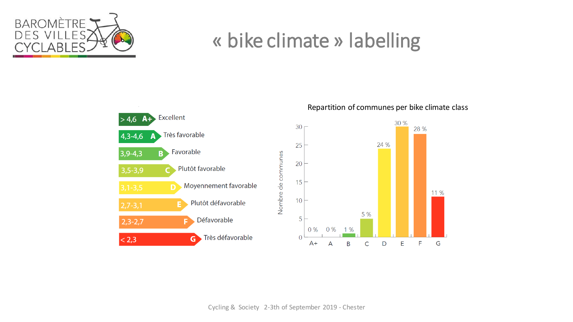

## « bike climate » labelling



Repartition of communes per bike climate class